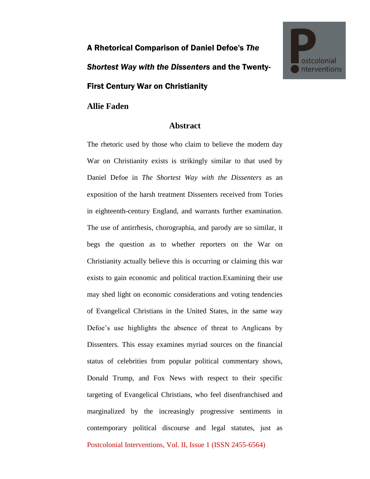## A Rhetorical Comparison of Daniel Defoe's *The Shortest Way with the Dissenters* and the Twenty-First Century War on Christianity



## **Abstract**

Postcolonial Interventions, Vol. II, Issue 1 (ISSN 2455-6564) The rhetoric used by those who claim to believe the modern day War on Christianity exists is strikingly similar to that used by Daniel Defoe in *The Shortest Way with the Dissenters* as an exposition of the harsh treatment Dissenters received from Tories in eighteenth-century England, and warrants further examination. The use of antirrhesis, chorographia, and parody are so similar, it begs the question as to whether reporters on the War on Christianity actually believe this is occurring or claiming this war exists to gain economic and political traction.Examining their use may shed light on economic considerations and voting tendencies of Evangelical Christians in the United States, in the same way Defoe's use highlights the absence of threat to Anglicans by Dissenters. This essay examines myriad sources on the financial status of celebrities from popular political commentary shows, Donald Trump, and Fox News with respect to their specific targeting of Evangelical Christians, who feel disenfranchised and marginalized by the increasingly progressive sentiments in contemporary political discourse and legal statutes, just as